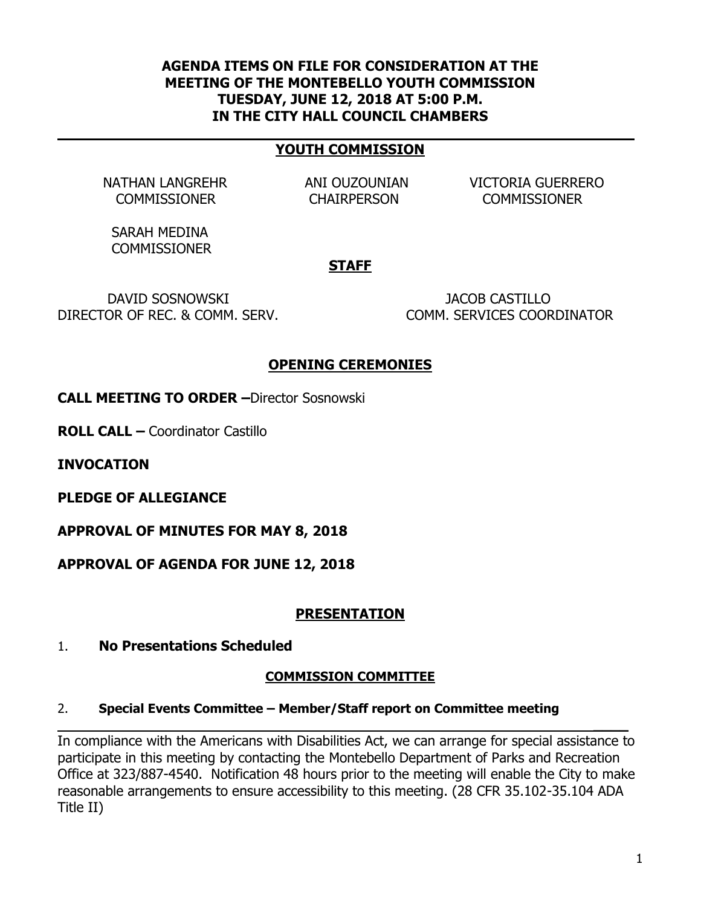### **AGENDA ITEMS ON FILE FOR CONSIDERATION AT THE MEETING OF THE MONTEBELLO YOUTH COMMISSION TUESDAY, JUNE 12, 2018 AT 5:00 P.M. IN THE CITY HALL COUNCIL CHAMBERS**

### **YOUTH COMMISSION**

NATHAN LANGREHR ANI OUZOUNIAN VICTORIA GUERRERO COMMISSIONER CHAIRPERSON COMMISSIONER

 SARAH MEDINA **COMMISSIONER** 

#### **STAFF**

 DAVID SOSNOWSKI JACOB CASTILLO DIRECTOR OF REC. & COMM. SERV. COMM. SERVICES COORDINATOR

## **OPENING CEREMONIES**

**CALL MEETING TO ORDER –**Director Sosnowski

**ROLL CALL –** Coordinator Castillo

**INVOCATION** 

**PLEDGE OF ALLEGIANCE**

**APPROVAL OF MINUTES FOR MAY 8, 2018**

**APPROVAL OF AGENDA FOR JUNE 12, 2018**

## **PRESENTATION**

1. **No Presentations Scheduled**

#### **COMMISSION COMMITTEE**

#### 2. **Special Events Committee – Member/Staff report on Committee meeting**

In compliance with the Americans with Disabilities Act, we can arrange for special assistance to participate in this meeting by contacting the Montebello Department of Parks and Recreation Office at 323/887-4540. Notification 48 hours prior to the meeting will enable the City to make reasonable arrangements to ensure accessibility to this meeting. (28 CFR 35.102-35.104 ADA Title II)

**\_\_\_\_**